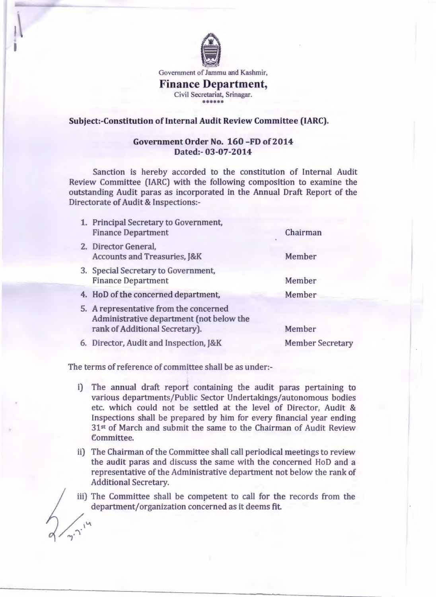

Government of Jammu and Kashmir,

**Finance Department,**  Civil Secretariat, Srinagar. \*\*\*\*\*\*

## **Subject:-Constitution of Internal Audit Review Committee (IARC).**

## **Government Order No. 160 -FD of 2014 Dated:- 03-07-2014**

Sanction is hereby accorded to the constitution of Internal Audit Review Committee (IARC) with the following composition to examine the outstanding Audit paras as incorporated in the Annual Draft Report of the Directorate of Audit & Inspections:-

1. Principal Secretary to Government, Finance Department 2. Director General, Accounts and Treasuries, J&K 3. Special Secretary to Government, Finance Department 4. HoD of the concerned department, 5. A representative from the concerned Administrative department (not below the rank of Additional Secretary). 6. Director, Audit and Inspection, J&K Chairman Member Member Member Member Member Secretary

The terms of reference of committee shall be as under:-

 $\frac{1}{2}$ 

- i) The annual draft report containing the audit paras pertaining to various departments/Public Sector Undertakings/autonomous bodies etc. which could not be settled at the level of Director, Audit & Inspections shall be prepared by him for every financial year ending 31st of March and submit the same to the Chairman of Audit Review Committee.
- ii) The Chairman of the Committee shall call periodical meetings to review the audit paras and discuss the same with the concerned HoD and a representative of the Administrative department not below the rank of Additional Secretary.

iii) The Committee shall be competent to call for the records from the department/organization concerned as it deems fit.